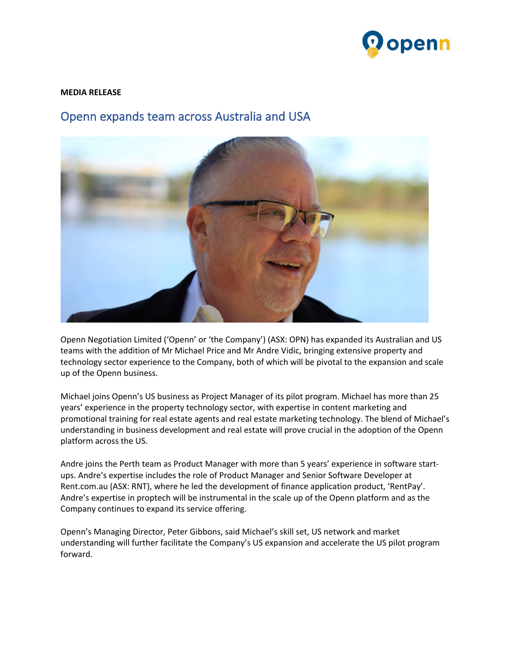

## **MEDIA RELEASE**

## Openn expands team across Australia and USA



Openn Negotiation Limited ('Openn' or 'the Company') (ASX: OPN) has expanded its Australian and US teams with the addition of Mr Michael Price and Mr Andre Vidic, bringing extensive property and technology sector experience to the Company, both of which will be pivotal to the expansion and scale up of the Openn business.

Michael joins Openn's US business as Project Manager of its pilot program. Michael has more than 25 years' experience in the property technology sector, with expertise in content marketing and promotional training for real estate agents and real estate marketing technology. The blend of Michael's understanding in business development and real estate will prove crucial in the adoption of the Openn platform across the US.

Andre joins the Perth team as Product Manager with more than 5 years' experience in software startups. Andre's expertise includes the role of Product Manager and Senior Software Developer at Rent.com.au (ASX: RNT), where he led the development of finance application product, 'RentPay'. Andre's expertise in proptech will be instrumental in the scale up of the Openn platform and as the Company continues to expand its service offering.

Openn's Managing Director, Peter Gibbons, said Michael's skill set, US network and market understanding will further facilitate the Company's US expansion and accelerate the US pilot program forward.